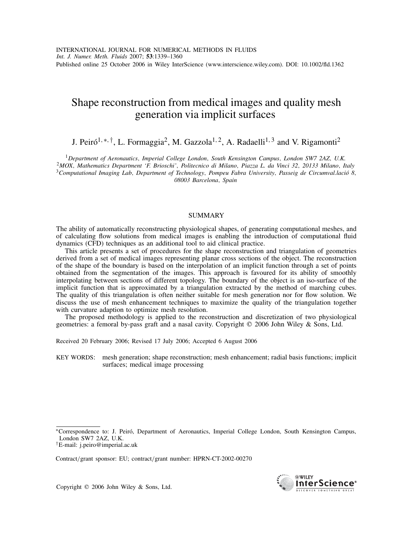# Shape reconstruction from medical images and quality mesh generation via implicit surfaces

J. Peiro<sup> $1, *, \dagger$ </sup>, L. Formaggia<sup>2</sup>, M. Gazzola<sup>1, 2</sup>, A. Radaelli<sup>1, 3</sup> and V. Rigamonti<sup>2</sup>

<sup>1</sup>Department of Aeronautics, Imperial College London, South Kensington Campus, London SW7 2AZ, U.K.<br><sup>2</sup>MOX, Mathematics Department 'F. Brioschi', Politecnico di Milano, Piazza L. da Vinci 32, 20133 Milano, Italy<br><sup>3</sup>Compu *08003 Barcelona, Spain*

#### SUMMARY

The ability of automatically reconstructing physiological shapes, of generating computational meshes, and of calculating flow solutions from medical images is enabling the introduction of computational fluid dynamics (CFD) techniques as an additional tool to aid clinical practice.

This article presents a set of procedures for the shape reconstruction and triangulation of geometries derived from a set of medical images representing planar cross sections of the object. The reconstruction of the shape of the boundary is based on the interpolation of an implicit function through a set of points obtained from the segmentation of the images. This approach is favoured for its ability of smoothly interpolating between sections of different topology. The boundary of the object is an iso-surface of the implicit function that is approximated by a triangulation extracted by the method of marching cubes. The quality of this triangulation is often neither suitable for mesh generation nor for flow solution. We discuss the use of mesh enhancement techniques to maximize the quality of the triangulation together with curvature adaption to optimize mesh resolution.

The proposed methodology is applied to the reconstruction and discretization of two physiological geometries: a femoral by-pass graft and a nasal cavity. Copyright q 2006 John Wiley & Sons, Ltd.

Received 20 February 2006; Revised 17 July 2006; Accepted 6 August 2006

KEY WORDS: mesh generation; shape reconstruction; mesh enhancement; radial basis functions; implicit surfaces; medical image processing

Contract*/*grant sponsor: EU; contract*/*grant number: HPRN-CT-2002-00270



Copyright  $© 2006$  John Wiley & Sons, Ltd.

<sup>∗</sup>Correspondence to: J. Peiro, Department of Aeronautics, Imperial College London, South Kensington Campus, ´ London SW7 2AZ, U.K.

*<sup>†</sup>*E-mail: j.peiro@imperial.ac.uk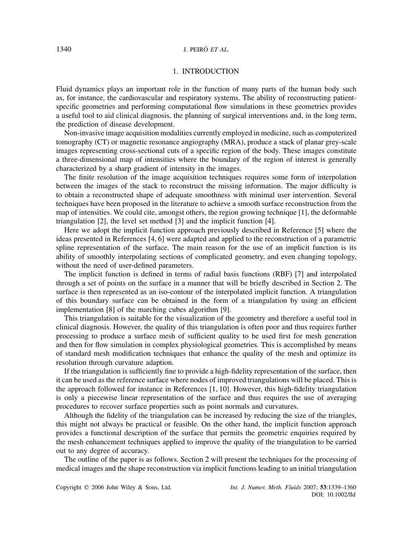## 1340 J. PEIRO´ *ET AL*.

## 1. INTRODUCTION

Fluid dynamics plays an important role in the function of many parts of the human body such as, for instance, the cardiovascular and respiratory systems. The ability of reconstructing patientspecific geometries and performing computational flow simulations in these geometries provides a useful tool to aid clinical diagnosis, the planning of surgical interventions and, in the long term, the prediction of disease development.

Non-invasive image acquisition modalities currently employed in medicine, such as computerized tomography (CT) or magnetic resonance angiography (MRA), produce a stack of planar grey-scale images representing cross-sectional cuts of a specific region of the body. These images constitute a three-dimensional map of intensities where the boundary of the region of interest is generally characterized by a sharp gradient of intensity in the images.

The finite resolution of the image acquisition techniques requires some form of interpolation between the images of the stack to reconstruct the missing information. The major difficulty is to obtain a reconstructed shape of adequate smoothness with minimal user intervention. Several techniques have been proposed in the literature to achieve a smooth surface reconstruction from the map of intensities. We could cite, amongst others, the region growing technique [1], the deformable triangulation [2], the level set method [3] and the implicit function [4].

Here we adopt the implicit function approach previously described in Reference [5] where the ideas presented in References [4, 6] were adapted and applied to the reconstruction of a parametric spline representation of the surface. The main reason for the use of an implicit function is its ability of smoothly interpolating sections of complicated geometry, and even changing topology, without the need of user-defined parameters.

The implicit function is defined in terms of radial basis functions (RBF) [7] and interpolated through a set of points on the surface in a manner that will be briefly described in Section 2. The surface is then represented as an iso-contour of the interpolated implicit function. A triangulation of this boundary surface can be obtained in the form of a triangulation by using an efficient implementation [8] of the marching cubes algorithm [9].

This triangulation is suitable for the visualization of the geometry and therefore a useful tool in clinical diagnosis. However, the quality of this triangulation is often poor and thus requires further processing to produce a surface mesh of sufficient quality to be used first for mesh generation and then for flow simulation in complex physiological geometries. This is accomplished by means of standard mesh modification techniques that enhance the quality of the mesh and optimize its resolution through curvature adaption.

If the triangulation is sufficiently fine to provide a high-fidelity representation of the surface, then it can be used as the reference surface where nodes of improved triangulations will be placed. This is the approach followed for instance in References [1, 10]. However, this high-fidelity triangulation is only a piecewise linear representation of the surface and thus requires the use of averaging procedures to recover surface properties such as point normals and curvatures.

Although the fidelity of the triangulation can be increased by reducing the size of the triangles, this might not always be practical or feasible. On the other hand, the implicit function approach provides a functional description of the surface that permits the geometric enquiries required by the mesh enhancement techniques applied to improve the quality of the triangulation to be carried out to any degree of accuracy.

The outline of the paper is as follows. Section 2 will present the techniques for the processing of medical images and the shape reconstruction via implicit functions leading to an initial triangulation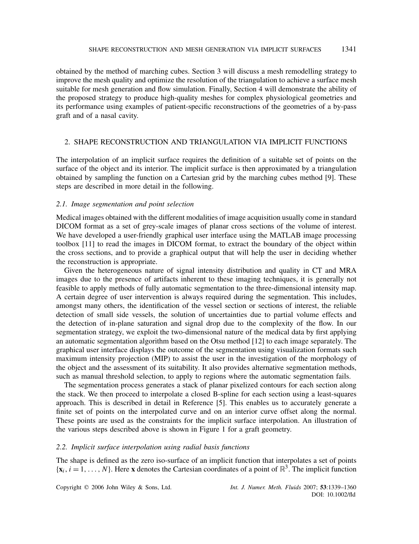obtained by the method of marching cubes. Section 3 will discuss a mesh remodelling strategy to improve the mesh quality and optimize the resolution of the triangulation to achieve a surface mesh suitable for mesh generation and flow simulation. Finally, Section 4 will demonstrate the ability of the proposed strategy to produce high-quality meshes for complex physiological geometries and its performance using examples of patient-specific reconstructions of the geometries of a by-pass graft and of a nasal cavity.

## 2. SHAPE RECONSTRUCTION AND TRIANGULATION VIA IMPLICIT FUNCTIONS

The interpolation of an implicit surface requires the definition of a suitable set of points on the surface of the object and its interior. The implicit surface is then approximated by a triangulation obtained by sampling the function on a Cartesian grid by the marching cubes method [9]. These steps are described in more detail in the following.

## *2.1. Image segmentation and point selection*

Medical images obtained with the different modalities of image acquisition usually come in standard DICOM format as a set of grey-scale images of planar cross sections of the volume of interest. We have developed a user-friendly graphical user interface using the MATLAB image processing toolbox [11] to read the images in DICOM format, to extract the boundary of the object within the cross sections, and to provide a graphical output that will help the user in deciding whether the reconstruction is appropriate.

Given the heterogeneous nature of signal intensity distribution and quality in CT and MRA images due to the presence of artifacts inherent to these imaging techniques, it is generally not feasible to apply methods of fully automatic segmentation to the three-dimensional intensity map. A certain degree of user intervention is always required during the segmentation. This includes, amongst many others, the identification of the vessel section or sections of interest, the reliable detection of small side vessels, the solution of uncertainties due to partial volume effects and the detection of in-plane saturation and signal drop due to the complexity of the flow. In our segmentation strategy, we exploit the two-dimensional nature of the medical data by first applying an automatic segmentation algorithm based on the Otsu method [12] to each image separately. The graphical user interface displays the outcome of the segmentation using visualization formats such maximum intensity projection (MIP) to assist the user in the investigation of the morphology of the object and the assessment of its suitability. It also provides alternative segmentation methods, such as manual threshold selection, to apply to regions where the automatic segmentation fails.

The segmentation process generates a stack of planar pixelized contours for each section along the stack. We then proceed to interpolate a closed B-spline for each section using a least-squares approach. This is described in detail in Reference [5]. This enables us to accurately generate a finite set of points on the interpolated curve and on an interior curve offset along the normal. These points are used as the constraints for the implicit surface interpolation. An illustration of the various steps described above is shown in Figure 1 for a graft geometry.

#### *2.2. Implicit surface interpolation using radial basis functions*

The shape is defined as the zero iso-surface of an implicit function that interpolates a set of points  $\{x_i, i = 1, \ldots, N\}$ . Here **x** denotes the Cartesian coordinates of a point of  $\mathbb{R}^3$ . The implicit function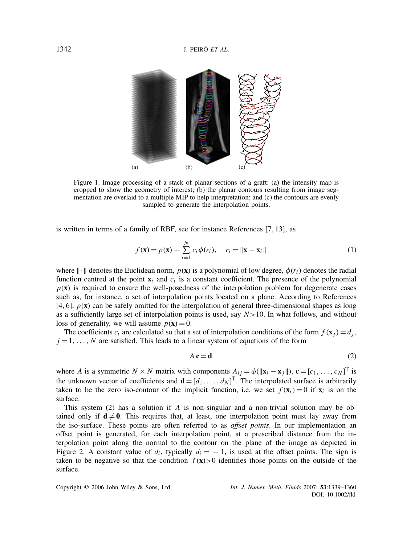

Figure 1. Image processing of a stack of planar sections of a graft: (a) the intensity map is cropped to show the geometry of interest; (b) the planar contours resulting from image segmentation are overlaid to a multiple MIP to help interpretation; and (c) the contours are evenly sampled to generate the interpolation points.

is written in terms of a family of RBF, see for instance References [7, 13], as

$$
f(\mathbf{x}) = p(\mathbf{x}) + \sum_{i=1}^{N} c_i \phi(r_i), \quad r_i = \|\mathbf{x} - \mathbf{x}_i\|
$$
 (1)

where  $\|\cdot\|$  denotes the Euclidean norm,  $p(\mathbf{x})$  is a polynomial of low degree,  $\phi(r_i)$  denotes the radial function centred at the point  $\mathbf{x}_i$  and  $c_i$  is a constant coefficient. The presence of the polynomial  $p(\mathbf{x})$  is required to ensure the well-posedness of the interpolation problem for degenerate cases such as, for instance, a set of interpolation points located on a plane. According to References  $[4, 6]$ ,  $p(\mathbf{x})$  can be safely omitted for the interpolation of general three-dimensional shapes as long as a sufficiently large set of interpolation points is used, say *N>*10. In what follows, and without loss of generality, we will assume  $p(\mathbf{x}) = 0$ .

The coefficients  $c_i$  are calculated so that a set of interpolation conditions of the form  $f(\mathbf{x}_i) = d_j$ ,  $j = 1, \ldots, N$  are satisfied. This leads to a linear system of equations of the form

$$
A \mathbf{c} = \mathbf{d} \tag{2}
$$

where *A* is a symmetric  $N \times N$  matrix with components  $A_{ij} = \phi(||\mathbf{x}_i - \mathbf{x}_j||)$ ,  $\mathbf{c} = [c_1, \dots, c_N]^T$  is the unknown vector of coefficients and  $\mathbf{d} = [d_1, \ldots, d_N]^T$ . The interpolated surface is arbitrarily taken to be the zero iso-contour of the implicit function, i.e. we set  $f(\mathbf{x}_i) = 0$  if  $\mathbf{x}_i$  is on the surface.

This system (2) has a solution if *A* is non-singular and a non-trivial solution may be obtained only if  $d \neq 0$ . This requires that, at least, one interpolation point must lay away from the iso-surface. These points are often referred to as *offset points*. In our implementation an offset point is generated, for each interpolation point, at a prescribed distance from the interpolation point along the normal to the contour on the plane of the image as depicted in Figure 2. A constant value of  $d_i$ , typically  $d_i = -1$ , is used at the offset points. The sign is taken to be negative so that the condition  $f(\mathbf{x}) > 0$  identifies those points on the outside of the surface.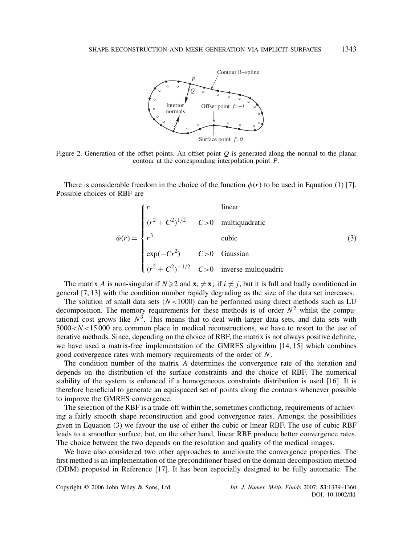

Figure 2. Generation of the offset points. An offset point *Q* is generated along the normal to the planar contour at the corresponding interpolation point *P*.

There is considerable freedom in the choice of the function  $\phi(r)$  to be used in Equation (1) [7]. Possible choices of RBF are

$$
\phi(r) = \begin{cases}\nr & \text{linear} \\
(r^2 + C^2)^{1/2} & C > 0 \\
r^3 & \text{cubic} \\
\exp(-Cr^2) & C > 0 \\
(r^2 + C^2)^{-1/2} & C > 0\n\end{cases}
$$
\n(3)

The matrix *A* is non-singular if  $N \ge 2$  and  $\mathbf{x}_i \neq \mathbf{x}_j$  if  $i \neq j$ , but it is full and badly conditioned in general [7, 13] with the condition number rapidly degrading as the size of the data set increases.

The solution of small data sets  $(N<1000)$  can be performed using direct methods such as LU decomposition. The memory requirements for these methods is of order  $N^2$  whilst the computational cost grows like  $N^3$ . This means that to deal with larger data sets, and data sets with  $5000 < N < 15000$  are common place in medical reconstructions, we have to resort to the use of iterative methods. Since, depending on the choice of RBF, the matrix is not always positive definite, we have used a matrix-free implementation of the GMRES algorithm [14, 15] which combines good convergence rates with memory requirements of the order of *N*.

The condition number of the matrix *A* determines the convergence rate of the iteration and depends on the distribution of the surface constraints and the choice of RBF. The numerical stability of the system is enhanced if a homogeneous constraints distribution is used [16]. It is therefore beneficial to generate an equispaced set of points along the contours whenever possible to improve the GMRES convergence.

The selection of the RBF is a trade-off within the, sometimes conflicting, requirements of achieving a fairly smooth shape reconstruction and good convergence rates. Amongst the possibilities given in Equation (3) we favour the use of either the cubic or linear RBF. The use of cubic RBF leads to a smoother surface, but, on the other hand, linear RBF produce better convergence rates. The choice between the two depends on the resolution and quality of the medical images.

We have also considered two other approaches to ameliorate the convergence properties. The first method is an implementation of the preconditioner based on the domain decomposition method (DDM) proposed in Reference [17]. It has been especially designed to be fully automatic. The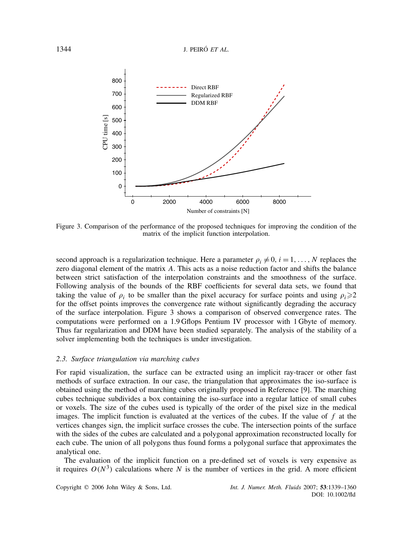#### 1344 J. PEIRO´ *ET AL*.



Figure 3. Comparison of the performance of the proposed techniques for improving the condition of the matrix of the implicit function interpolation.

second approach is a regularization technique. Here a parameter  $\rho_i \neq 0$ ,  $i = 1, \ldots, N$  replaces the zero diagonal element of the matrix *A*. This acts as a noise reduction factor and shifts the balance between strict satisfaction of the interpolation constraints and the smoothness of the surface. Following analysis of the bounds of the RBF coefficients for several data sets, we found that taking the value of  $\rho_i$  to be smaller than the pixel accuracy for surface points and using  $\rho_i \geq 2$ for the offset points improves the convergence rate without significantly degrading the accuracy of the surface interpolation. Figure 3 shows a comparison of observed convergence rates. The computations were performed on a 1.9 Gflops Pentium IV processor with 1 Gbyte of memory. Thus far regularization and DDM have been studied separately. The analysis of the stability of a solver implementing both the techniques is under investigation.

## *2.3. Surface triangulation via marching cubes*

For rapid visualization, the surface can be extracted using an implicit ray-tracer or other fast methods of surface extraction. In our case, the triangulation that approximates the iso-surface is obtained using the method of marching cubes originally proposed in Reference [9]. The marching cubes technique subdivides a box containing the iso-surface into a regular lattice of small cubes or voxels. The size of the cubes used is typically of the order of the pixel size in the medical images. The implicit function is evaluated at the vertices of the cubes. If the value of *f* at the vertices changes sign, the implicit surface crosses the cube. The intersection points of the surface with the sides of the cubes are calculated and a polygonal approximation reconstructed locally for each cube. The union of all polygons thus found forms a polygonal surface that approximates the analytical one.

The evaluation of the implicit function on a pre-defined set of voxels is very expensive as it requires  $O(N^3)$  calculations where N is the number of vertices in the grid. A more efficient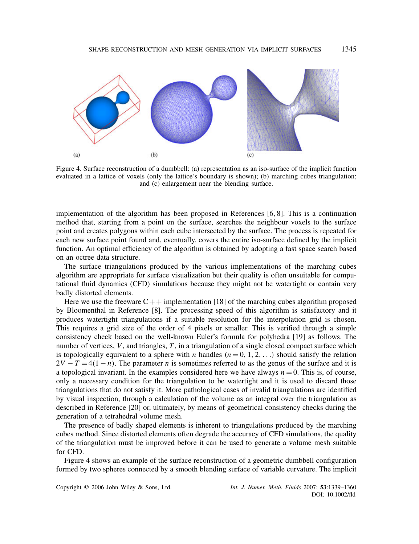

Figure 4. Surface reconstruction of a dumbbell: (a) representation as an iso-surface of the implicit function evaluated in a lattice of voxels (only the lattice's boundary is shown); (b) marching cubes triangulation; and (c) enlargement near the blending surface.

implementation of the algorithm has been proposed in References [6, 8]. This is a continuation method that, starting from a point on the surface, searches the neighbour voxels to the surface point and creates polygons within each cube intersected by the surface. The process is repeated for each new surface point found and, eventually, covers the entire iso-surface defined by the implicit function. An optimal efficiency of the algorithm is obtained by adopting a fast space search based on an octree data structure.

The surface triangulations produced by the various implementations of the marching cubes algorithm are appropriate for surface visualization but their quality is often unsuitable for computational fluid dynamics (CFD) simulations because they might not be watertight or contain very badly distorted elements.

Here we use the freeware  $C++$  implementation [18] of the marching cubes algorithm proposed by Bloomenthal in Reference [8]. The processing speed of this algorithm is satisfactory and it produces watertight triangulations if a suitable resolution for the interpolation grid is chosen. This requires a grid size of the order of 4 pixels or smaller. This is verified through a simple consistency check based on the well-known Euler's formula for polyhedra [19] as follows. The number of vertices, *V*, and triangles, *T* , in a triangulation of a single closed compact surface which is topologically equivalent to a sphere with *n* handles  $(n = 0, 1, 2, ...)$  should satisfy the relation  $2V - T = 4(1 - n)$ . The parameter *n* is sometimes referred to as the genus of the surface and it is a topological invariant. In the examples considered here we have always  $n = 0$ . This is, of course, only a necessary condition for the triangulation to be watertight and it is used to discard those triangulations that do not satisfy it. More pathological cases of invalid triangulations are identified by visual inspection, through a calculation of the volume as an integral over the triangulation as described in Reference [20] or, ultimately, by means of geometrical consistency checks during the generation of a tetrahedral volume mesh.

The presence of badly shaped elements is inherent to triangulations produced by the marching cubes method. Since distorted elements often degrade the accuracy of CFD simulations, the quality of the triangulation must be improved before it can be used to generate a volume mesh suitable for CFD.

Figure 4 shows an example of the surface reconstruction of a geometric dumbbell configuration formed by two spheres connected by a smooth blending surface of variable curvature. The implicit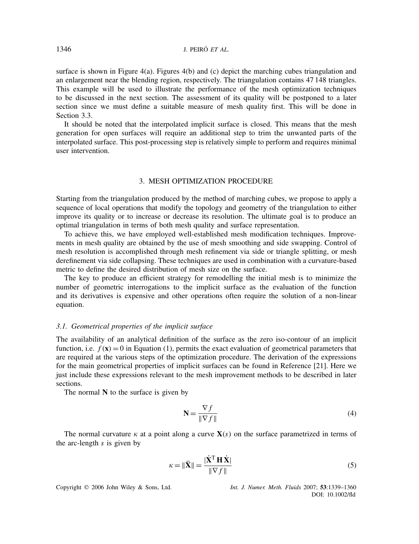surface is shown in Figure 4(a). Figures 4(b) and (c) depict the marching cubes triangulation and an enlargement near the blending region, respectively. The triangulation contains 47 148 triangles. This example will be used to illustrate the performance of the mesh optimization techniques to be discussed in the next section. The assessment of its quality will be postponed to a later section since we must define a suitable measure of mesh quality first. This will be done in Section 3.3.

It should be noted that the interpolated implicit surface is closed. This means that the mesh generation for open surfaces will require an additional step to trim the unwanted parts of the interpolated surface. This post-processing step is relatively simple to perform and requires minimal user intervention.

#### 3. MESH OPTIMIZATION PROCEDURE

Starting from the triangulation produced by the method of marching cubes, we propose to apply a sequence of local operations that modify the topology and geometry of the triangulation to either improve its quality or to increase or decrease its resolution. The ultimate goal is to produce an optimal triangulation in terms of both mesh quality and surface representation.

To achieve this, we have employed well-established mesh modification techniques. Improvements in mesh quality are obtained by the use of mesh smoothing and side swapping. Control of mesh resolution is accomplished through mesh refinement via side or triangle splitting, or mesh derefinement via side collapsing. These techniques are used in combination with a curvature-based metric to define the desired distribution of mesh size on the surface.

The key to produce an efficient strategy for remodelling the initial mesh is to minimize the number of geometric interrogations to the implicit surface as the evaluation of the function and its derivatives is expensive and other operations often require the solution of a non-linear equation.

#### *3.1. Geometrical properties of the implicit surface*

The availability of an analytical definition of the surface as the zero iso-contour of an implicit function, i.e.  $f(\mathbf{x}) = 0$  in Equation (1), permits the exact evaluation of geometrical parameters that are required at the various steps of the optimization procedure. The derivation of the expressions for the main geometrical properties of implicit surfaces can be found in Reference [21]. Here we just include these expressions relevant to the mesh improvement methods to be described in later sections.

The normal **N** to the surface is given by

$$
\mathbf{N} = \frac{\nabla f}{\|\nabla f\|} \tag{4}
$$

The normal curvature  $\kappa$  at a point along a curve  $\mathbf{X}(s)$  on the surface parametrized in terms of the arc-length *s* is given by

$$
\kappa = \|\ddot{\mathbf{X}}\| = \frac{|\dot{\mathbf{X}}^{\mathrm{T}} \mathbf{H} \dot{\mathbf{X}}|}{\|\nabla f\|}
$$
(5)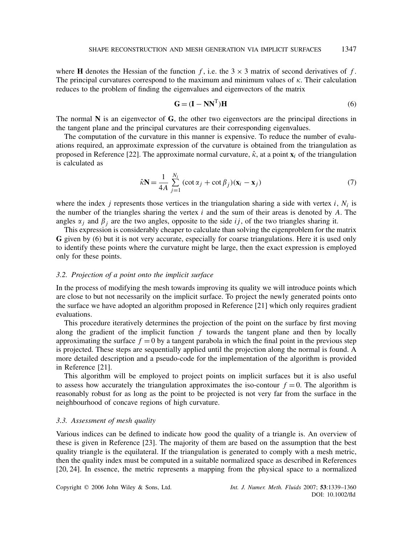where **H** denotes the Hessian of the function  $f$ , i.e. the  $3 \times 3$  matrix of second derivatives of  $f$ . The principal curvatures correspond to the maximum and minimum values of  $\kappa$ . Their calculation reduces to the problem of finding the eigenvalues and eigenvectors of the matrix

$$
\mathbf{G} = (\mathbf{I} - \mathbf{N}\mathbf{N}^{\mathrm{T}})\mathbf{H} \tag{6}
$$

The normal  $N$  is an eigenvector of  $G$ , the other two eigenvectors are the principal directions in the tangent plane and the principal curvatures are their corresponding eigenvalues.

The computation of the curvature in this manner is expensive. To reduce the number of evaluations required, an approximate expression of the curvature is obtained from the triangulation as proposed in Reference [22]. The approximate normal curvature,  $\hat{\kappa}$ , at a point  $\mathbf{x}_i$  of the triangulation is calculated as

$$
\hat{\kappa} \mathbf{N} = \frac{1}{4A} \sum_{j=1}^{N_i} (\cot \alpha_j + \cot \beta_j) (\mathbf{x}_i - \mathbf{x}_j)
$$
(7)

where the index *j* represents those vertices in the triangulation sharing a side with vertex  $i$ ,  $N_i$  is the number of the triangles sharing the vertex *i* and the sum of their areas is denoted by *A*. The angles  $\alpha_j$  and  $\beta_j$  are the two angles, opposite to the side *ij*, of the two triangles sharing it.

This expression is considerably cheaper to calculate than solving the eigenproblem for the matrix **G** given by (6) but it is not very accurate, especially for coarse triangulations. Here it is used only to identify these points where the curvature might be large, then the exact expression is employed only for these points.

#### *3.2. Projection of a point onto the implicit surface*

In the process of modifying the mesh towards improving its quality we will introduce points which are close to but not necessarily on the implicit surface. To project the newly generated points onto the surface we have adopted an algorithm proposed in Reference [21] which only requires gradient evaluations.

This procedure iteratively determines the projection of the point on the surface by first moving along the gradient of the implicit function *f* towards the tangent plane and then by locally approximating the surface  $f = 0$  by a tangent parabola in which the final point in the previous step is projected. These steps are sequentially applied until the projection along the normal is found. A more detailed description and a pseudo-code for the implementation of the algorithm is provided in Reference [21].

This algorithm will be employed to project points on implicit surfaces but it is also useful to assess how accurately the triangulation approximates the iso-contour  $f = 0$ . The algorithm is reasonably robust for as long as the point to be projected is not very far from the surface in the neighbourhood of concave regions of high curvature.

## *3.3. Assessment of mesh quality*

Various indices can be defined to indicate how good the quality of a triangle is. An overview of these is given in Reference [23]. The majority of them are based on the assumption that the best quality triangle is the equilateral. If the triangulation is generated to comply with a mesh metric, then the quality index must be computed in a suitable normalized space as described in References [20, 24]. In essence, the metric represents a mapping from the physical space to a normalized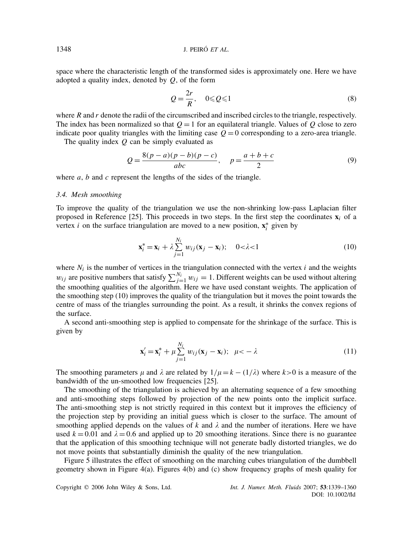1348 J. PEIRO´ *ET AL*.

space where the characteristic length of the transformed sides is approximately one. Here we have adopted a quality index, denoted by *Q*, of the form

$$
Q = \frac{2r}{R}, \quad 0 \le Q \le 1 \tag{8}
$$

where *R* and *r* denote the radii of the circumscribed and inscribed circles to the triangle, respectively. The index has been normalized so that  $Q = 1$  for an equilateral triangle. Values of  $Q$  close to zero indicate poor quality triangles with the limiting case  $Q = 0$  corresponding to a zero-area triangle.

The quality index *Q* can be simply evaluated as

$$
Q = \frac{8(p-a)(p-b)(p-c)}{abc}, \quad p = \frac{a+b+c}{2}
$$
 (9)

where *a*, *b* and *c* represent the lengths of the sides of the triangle.

## *3.4. Mesh smoothing*

To improve the quality of the triangulation we use the non-shrinking low-pass Laplacian filter proposed in Reference [25]. This proceeds in two steps. In the first step the coordinates  $\mathbf{x}_i$  of a vertex *i* on the surface triangulation are moved to a new position,  $\mathbf{x}_i^*$  given by

$$
\mathbf{x}_i^* = \mathbf{x}_i + \lambda \sum_{j=1}^{N_i} w_{ij} (\mathbf{x}_j - \mathbf{x}_i); \quad 0 < \lambda < 1
$$
 (10)

where  $N_i$  is the number of vertices in the triangulation connected with the vertex  $i$  and the weights  $w_{ij}$  are positive numbers that satisfy  $\sum_{j=1}^{N_i} w_{ij} = 1$ . Different weights can be used without altering the smoothing qualities of the algorithm. Here we have used constant weights. The application of the smoothing step (10) improves the quality of the triangulation but it moves the point towards the centre of mass of the triangles surrounding the point. As a result, it shrinks the convex regions of the surface.

A second anti-smoothing step is applied to compensate for the shrinkage of the surface. This is given by

$$
\mathbf{x}'_i = \mathbf{x}^*_i + \mu \sum_{j=1}^{N_i} w_{ij} (\mathbf{x}_j - \mathbf{x}_i); \quad \mu < -\lambda
$$
 (11)

The smoothing parameters  $\mu$  and  $\lambda$  are related by  $1/\mu = k - (1/\lambda)$  where  $k > 0$  is a measure of the bandwidth of the un-smoothed low frequencies [25].

The smoothing of the triangulation is achieved by an alternating sequence of a few smoothing and anti-smoothing steps followed by projection of the new points onto the implicit surface. The anti-smoothing step is not strictly required in this context but it improves the efficiency of the projection step by providing an initial guess which is closer to the surface. The amount of smoothing applied depends on the values of  $k$  and  $\lambda$  and the number of iterations. Here we have used  $k = 0.01$  and  $\lambda = 0.6$  and applied up to 20 smoothing iterations. Since there is no guarantee that the application of this smoothing technique will not generate badly distorted triangles, we do not move points that substantially diminish the quality of the new triangulation.

Figure 5 illustrates the effect of smoothing on the marching cubes triangulation of the dumbbell geometry shown in Figure 4(a). Figures 4(b) and (c) show frequency graphs of mesh quality for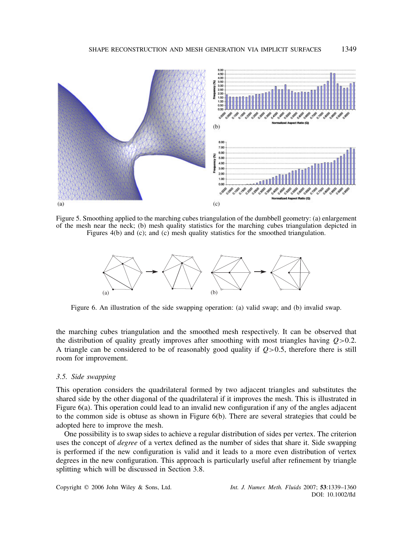

Figure 5. Smoothing applied to the marching cubes triangulation of the dumbbell geometry: (a) enlargement of the mesh near the neck; (b) mesh quality statistics for the marching cubes triangulation depicted in Figures 4(b) and (c); and (c) mesh quality statistics for the smoothed triangulation.



Figure 6. An illustration of the side swapping operation: (a) valid swap; and (b) invalid swap.

the marching cubes triangulation and the smoothed mesh respectively. It can be observed that the distribution of quality greatly improves after smoothing with most triangles having *Q>*0*.*2. A triangle can be considered to be of reasonably good quality if *Q>*0*.*5, therefore there is still room for improvement.

## *3.5. Side swapping*

This operation considers the quadrilateral formed by two adjacent triangles and substitutes the shared side by the other diagonal of the quadrilateral if it improves the mesh. This is illustrated in Figure 6(a). This operation could lead to an invalid new configuration if any of the angles adjacent to the common side is obtuse as shown in Figure 6(b). There are several strategies that could be adopted here to improve the mesh.

One possibility is to swap sides to achieve a regular distribution of sides per vertex. The criterion uses the concept of *degree* of a vertex defined as the number of sides that share it. Side swapping is performed if the new configuration is valid and it leads to a more even distribution of vertex degrees in the new configuration. This approach is particularly useful after refinement by triangle splitting which will be discussed in Section 3.8.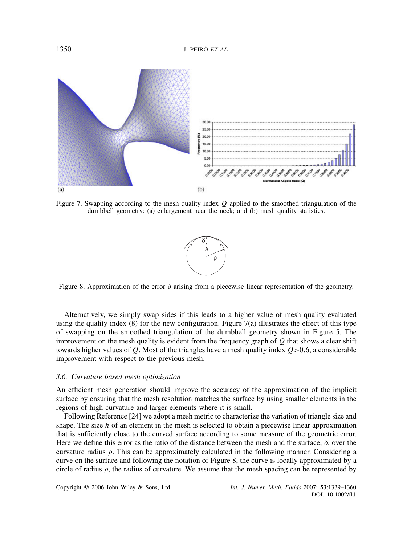

Figure 7. Swapping according to the mesh quality index *Q* applied to the smoothed triangulation of the dumbbell geometry: (a) enlargement near the neck; and (b) mesh quality statistics.



Figure 8. Approximation of the error  $\delta$  arising from a piecewise linear representation of the geometry.

Alternatively, we simply swap sides if this leads to a higher value of mesh quality evaluated using the quality index (8) for the new configuration. Figure 7(a) illustrates the effect of this type of swapping on the smoothed triangulation of the dumbbell geometry shown in Figure 5. The improvement on the mesh quality is evident from the frequency graph of *Q* that shows a clear shift towards higher values of *Q*. Most of the triangles have a mesh quality index *Q>*0*.*6, a considerable improvement with respect to the previous mesh.

## *3.6. Curvature based mesh optimization*

An efficient mesh generation should improve the accuracy of the approximation of the implicit surface by ensuring that the mesh resolution matches the surface by using smaller elements in the regions of high curvature and larger elements where it is small.

Following Reference [24] we adopt a mesh metric to characterize the variation of triangle size and shape. The size *h* of an element in the mesh is selected to obtain a piecewise linear approximation that is sufficiently close to the curved surface according to some measure of the geometric error. Here we define this error as the ratio of the distance between the mesh and the surface,  $\delta$ , over the curvature radius  $\rho$ . This can be approximately calculated in the following manner. Considering a curve on the surface and following the notation of Figure 8, the curve is locally approximated by a circle of radius  $\rho$ , the radius of curvature. We assume that the mesh spacing can be represented by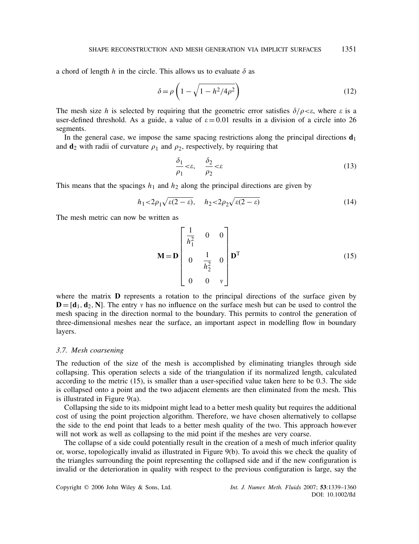a chord of length *h* in the circle. This allows us to evaluate  $\delta$  as

$$
\delta = \rho \left( 1 - \sqrt{1 - h^2 / 4\rho^2} \right) \tag{12}
$$

The mesh size *h* is selected by requiring that the geometric error satisfies  $\delta/\rho < \varepsilon$ , where  $\varepsilon$  is a user-defined threshold. As a guide, a value of  $\varepsilon = 0.01$  results in a division of a circle into 26 segments.

In the general case, we impose the same spacing restrictions along the principal directions  $\mathbf{d}_1$ and  $\mathbf{d}_2$  with radii of curvature  $\rho_1$  and  $\rho_2$ , respectively, by requiring that

$$
\frac{\delta_1}{\rho_1} < \varepsilon, \quad \frac{\delta_2}{\rho_2} < \varepsilon \tag{13}
$$

This means that the spacings  $h_1$  and  $h_2$  along the principal directions are given by

$$
h_1 < 2\rho_1 \sqrt{\varepsilon(2-\varepsilon)}, \quad h_2 < 2\rho_2 \sqrt{\varepsilon(2-\varepsilon)}
$$
\n(14)

The mesh metric can now be written as

$$
\mathbf{M} = \mathbf{D} \begin{bmatrix} \frac{1}{h_1^2} & 0 & 0 \\ 0 & \frac{1}{h_2^2} & 0 \\ 0 & 0 & v \end{bmatrix} \mathbf{D}^{\mathrm{T}}
$$
(15)

where the matrix **D** represents a rotation to the principal directions of the surface given by  $\mathbf{D} = [\mathbf{d}_1, \mathbf{d}_2, \mathbf{N}]$ . The entry v has no influence on the surface mesh but can be used to control the mesh spacing in the direction normal to the boundary. This permits to control the generation of three-dimensional meshes near the surface, an important aspect in modelling flow in boundary layers.

## *3.7. Mesh coarsening*

The reduction of the size of the mesh is accomplished by eliminating triangles through side collapsing. This operation selects a side of the triangulation if its normalized length, calculated according to the metric (15), is smaller than a user-specified value taken here to be 0.3. The side is collapsed onto a point and the two adjacent elements are then eliminated from the mesh. This is illustrated in Figure 9(a).

Collapsing the side to its midpoint might lead to a better mesh quality but requires the additional cost of using the point projection algorithm. Therefore, we have chosen alternatively to collapse the side to the end point that leads to a better mesh quality of the two. This approach however will not work as well as collapsing to the mid point if the meshes are very coarse.

The collapse of a side could potentially result in the creation of a mesh of much inferior quality or, worse, topologically invalid as illustrated in Figure 9(b). To avoid this we check the quality of the triangles surrounding the point representing the collapsed side and if the new configuration is invalid or the deterioration in quality with respect to the previous configuration is large, say the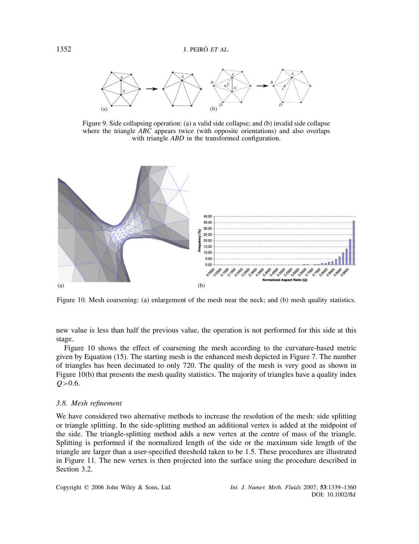

Figure 9. Side collapsing operation: (a) a valid side collapse; and (b) invalid side collapse where the triangle *ABC* appears twice (with opposite orientations) and also overlaps with triangle *ABD* in the transformed configuration.



Figure 10. Mesh coarsening: (a) enlargement of the mesh near the neck; and (b) mesh quality statistics.

new value is less than half the previous value, the operation is not performed for this side at this stage.

Figure 10 shows the effect of coarsening the mesh according to the curvature-based metric given by Equation (15). The starting mesh is the enhanced mesh depicted in Figure 7. The number of triangles has been decimated to only 720. The quality of the mesh is very good as shown in Figure 10(b) that presents the mesh quality statistics. The majority of triangles have a quality index  $Q > 0.6$ .

#### *3.8. Mesh refinement*

We have considered two alternative methods to increase the resolution of the mesh: side splitting or triangle splitting. In the side-splitting method an additional vertex is added at the midpoint of the side. The triangle-splitting method adds a new vertex at the centre of mass of the triangle. Splitting is performed if the normalized length of the side or the maximum side length of the triangle are larger than a user-specified threshold taken to be 1.5. These procedures are illustrated in Figure 11. The new vertex is then projected into the surface using the procedure described in Section 3.2.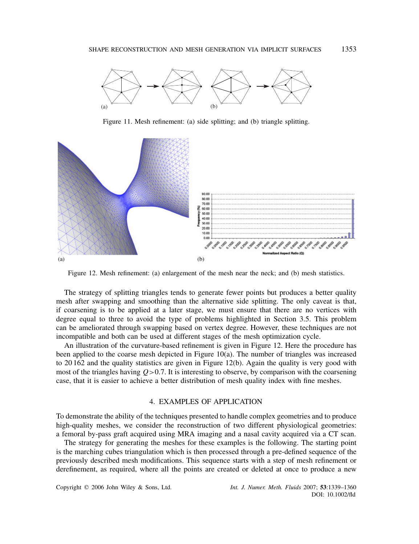

Figure 11. Mesh refinement: (a) side splitting; and (b) triangle splitting.



Figure 12. Mesh refinement: (a) enlargement of the mesh near the neck; and (b) mesh statistics.

The strategy of splitting triangles tends to generate fewer points but produces a better quality mesh after swapping and smoothing than the alternative side splitting. The only caveat is that, if coarsening is to be applied at a later stage, we must ensure that there are no vertices with degree equal to three to avoid the type of problems highlighted in Section 3.5. This problem can be ameliorated through swapping based on vertex degree. However, these techniques are not incompatible and both can be used at different stages of the mesh optimization cycle.

An illustration of the curvature-based refinement is given in Figure 12. Here the procedure has been applied to the coarse mesh depicted in Figure 10(a). The number of triangles was increased to 20 162 and the quality statistics are given in Figure 12(b). Again the quality is very good with most of the triangles having *Q>*0*.*7. It is interesting to observe, by comparison with the coarsening case, that it is easier to achieve a better distribution of mesh quality index with fine meshes.

#### 4. EXAMPLES OF APPLICATION

To demonstrate the ability of the techniques presented to handle complex geometries and to produce high-quality meshes, we consider the reconstruction of two different physiological geometries: a femoral by-pass graft acquired using MRA imaging and a nasal cavity acquired via a CT scan.

The strategy for generating the meshes for these examples is the following. The starting point is the marching cubes triangulation which is then processed through a pre-defined sequence of the previously described mesh modifications. This sequence starts with a step of mesh refinement or derefinement, as required, where all the points are created or deleted at once to produce a new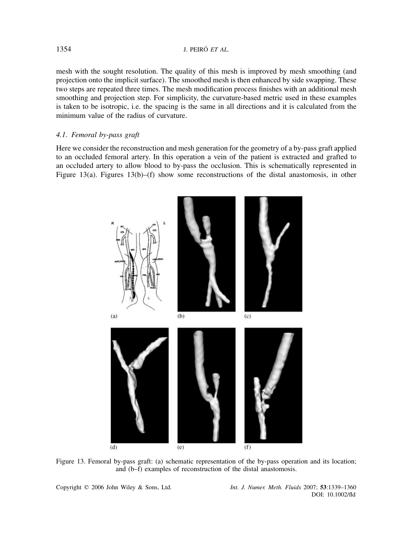mesh with the sought resolution. The quality of this mesh is improved by mesh smoothing (and projection onto the implicit surface). The smoothed mesh is then enhanced by side swapping. These two steps are repeated three times. The mesh modification process finishes with an additional mesh smoothing and projection step. For simplicity, the curvature-based metric used in these examples is taken to be isotropic, i.e. the spacing is the same in all directions and it is calculated from the minimum value of the radius of curvature.

# *4.1. Femoral by-pass graft*

Here we consider the reconstruction and mesh generation for the geometry of a by-pass graft applied to an occluded femoral artery. In this operation a vein of the patient is extracted and grafted to an occluded artery to allow blood to by-pass the occlusion. This is schematically represented in Figure 13(a). Figures 13(b)–(f) show some reconstructions of the distal anastomosis, in other



Figure 13. Femoral by-pass graft: (a) schematic representation of the by-pass operation and its location; and (b–f) examples of reconstruction of the distal anastomosis.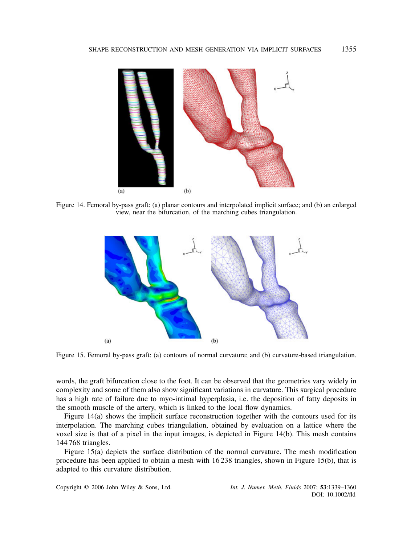

Figure 14. Femoral by-pass graft: (a) planar contours and interpolated implicit surface; and (b) an enlarged view, near the bifurcation, of the marching cubes triangulation.



Figure 15. Femoral by-pass graft: (a) contours of normal curvature; and (b) curvature-based triangulation.

words, the graft bifurcation close to the foot. It can be observed that the geometries vary widely in complexity and some of them also show significant variations in curvature. This surgical procedure has a high rate of failure due to myo-intimal hyperplasia, i.e. the deposition of fatty deposits in the smooth muscle of the artery, which is linked to the local flow dynamics.

Figure 14(a) shows the implicit surface reconstruction together with the contours used for its interpolation. The marching cubes triangulation, obtained by evaluation on a lattice where the voxel size is that of a pixel in the input images, is depicted in Figure 14(b). This mesh contains 144 768 triangles.

Figure 15(a) depicts the surface distribution of the normal curvature. The mesh modification procedure has been applied to obtain a mesh with 16 238 triangles, shown in Figure 15(b), that is adapted to this curvature distribution.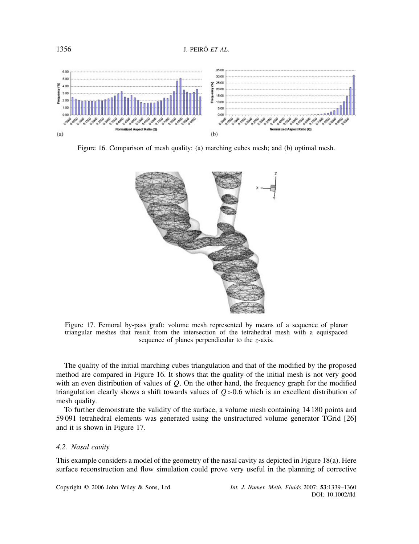

Figure 16. Comparison of mesh quality: (a) marching cubes mesh; and (b) optimal mesh.



Figure 17. Femoral by-pass graft: volume mesh represented by means of a sequence of planar triangular meshes that result from the intersection of the tetrahedral mesh with a equispaced sequence of planes perpendicular to the *z*-axis.

The quality of the initial marching cubes triangulation and that of the modified by the proposed method are compared in Figure 16. It shows that the quality of the initial mesh is not very good with an even distribution of values of *Q*. On the other hand, the frequency graph for the modified triangulation clearly shows a shift towards values of *Q>*0*.*6 which is an excellent distribution of mesh quality.

To further demonstrate the validity of the surface, a volume mesh containing 14 180 points and 59 091 tetrahedral elements was generated using the unstructured volume generator TGrid [26] and it is shown in Figure 17.

#### *4.2. Nasal cavity*

This example considers a model of the geometry of the nasal cavity as depicted in Figure 18(a). Here surface reconstruction and flow simulation could prove very useful in the planning of corrective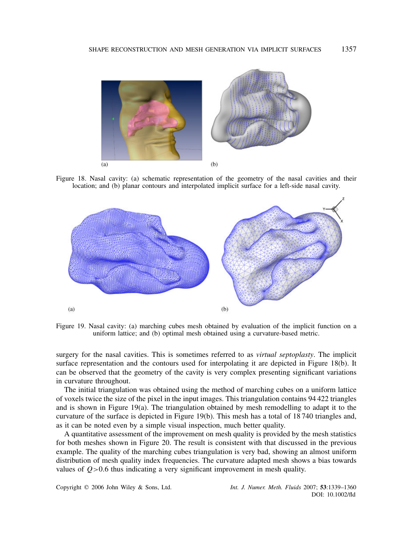

Figure 18. Nasal cavity: (a) schematic representation of the geometry of the nasal cavities and their location; and (b) planar contours and interpolated implicit surface for a left-side nasal cavity.



Figure 19. Nasal cavity: (a) marching cubes mesh obtained by evaluation of the implicit function on a uniform lattice; and (b) optimal mesh obtained using a curvature-based metric.

surgery for the nasal cavities. This is sometimes referred to as *virtual septoplasty*. The implicit surface representation and the contours used for interpolating it are depicted in Figure 18(b). It can be observed that the geometry of the cavity is very complex presenting significant variations in curvature throughout.

The initial triangulation was obtained using the method of marching cubes on a uniform lattice of voxels twice the size of the pixel in the input images. This triangulation contains 94 422 triangles and is shown in Figure 19(a). The triangulation obtained by mesh remodelling to adapt it to the curvature of the surface is depicted in Figure 19(b). This mesh has a total of 18 740 triangles and, as it can be noted even by a simple visual inspection, much better quality.

A quantitative assessment of the improvement on mesh quality is provided by the mesh statistics for both meshes shown in Figure 20. The result is consistent with that discussed in the previous example. The quality of the marching cubes triangulation is very bad, showing an almost uniform distribution of mesh quality index frequencies. The curvature adapted mesh shows a bias towards values of  $Q > 0.6$  thus indicating a very significant improvement in mesh quality.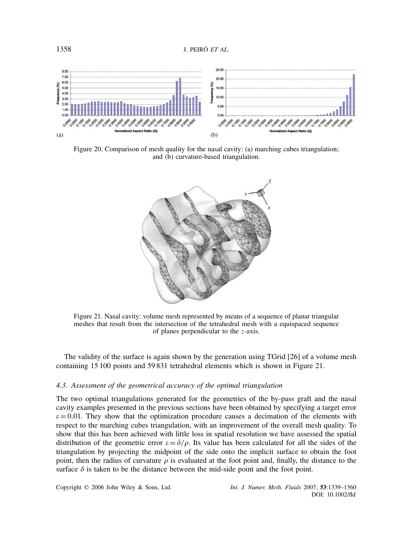

Figure 20. Comparison of mesh quality for the nasal cavity: (a) marching cubes triangulation; and (b) curvature-based triangulation.



Figure 21. Nasal cavity: volume mesh represented by means of a sequence of planar triangular meshes that result from the intersection of the tetrahedral mesh with a equispaced sequence of planes perpendicular to the *z*-axis.

The validity of the surface is again shown by the generation using TGrid [26] of a volume mesh containing 15 100 points and 59 831 tetrahedral elements which is shown in Figure 21.

#### *4.3. Assessment of the geometrical accuracy of the optimal triangulation*

The two optimal triangulations generated for the geometries of the by-pass graft and the nasal cavity examples presented in the previous sections have been obtained by specifying a target error  $\varepsilon$  = 0.01. They show that the optimization procedure causes a decimation of the elements with respect to the marching cubes triangulation, with an improvement of the overall mesh quality. To show that this has been achieved with little loss in spatial resolution we have assessed the spatial distribution of the geometric error  $\varepsilon = \delta/\rho$ . Its value has been calculated for all the sides of the triangulation by projecting the midpoint of the side onto the implicit surface to obtain the foot point, then the radius of curvature  $\rho$  is evaluated at the foot point and, finally, the distance to the surface  $\delta$  is taken to be the distance between the mid-side point and the foot point.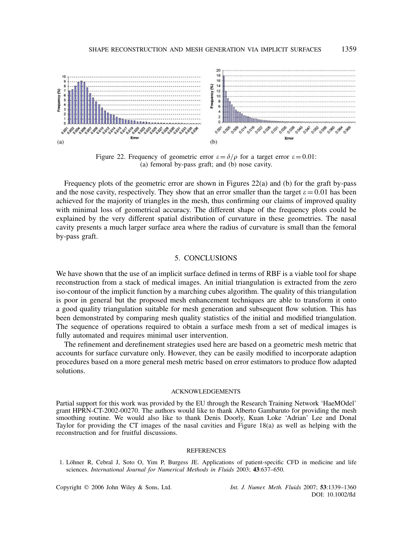

Figure 22. Frequency of geometric error  $\varepsilon = \delta/\rho$  for a target error  $\varepsilon = 0.01$ : (a) femoral by-pass graft; and (b) nose cavity.

Frequency plots of the geometric error are shown in Figures 22(a) and (b) for the graft by-pass and the nose cavity, respectively. They show that an error smaller than the target  $\varepsilon = 0.01$  has been achieved for the majority of triangles in the mesh, thus confirming our claims of improved quality with minimal loss of geometrical accuracy. The different shape of the frequency plots could be explained by the very different spatial distribution of curvature in these geometries. The nasal cavity presents a much larger surface area where the radius of curvature is small than the femoral by-pass graft.

#### 5. CONCLUSIONS

We have shown that the use of an implicit surface defined in terms of RBF is a viable tool for shape reconstruction from a stack of medical images. An initial triangulation is extracted from the zero iso-contour of the implicit function by a marching cubes algorithm. The quality of this triangulation is poor in general but the proposed mesh enhancement techniques are able to transform it onto a good quality triangulation suitable for mesh generation and subsequent flow solution. This has been demonstrated by comparing mesh quality statistics of the initial and modified triangulation. The sequence of operations required to obtain a surface mesh from a set of medical images is fully automated and requires minimal user intervention.

The refinement and derefinement strategies used here are based on a geometric mesh metric that accounts for surface curvature only. However, they can be easily modified to incorporate adaption procedures based on a more general mesh metric based on error estimators to produce flow adapted solutions.

#### ACKNOWLEDGEMENTS

Partial support for this work was provided by the EU through the Research Training Network 'HaeMOdel' grant HPRN-CT-2002-00270. The authors would like to thank Alberto Gambaruto for providing the mesh smoothing routine. We would also like to thank Denis Doorly, Kuan Loke 'Adrian' Lee and Donal Taylor for providing the CT images of the nasal cavities and Figure 18(a) as well as helping with the reconstruction and for fruitful discussions.

#### **REFERENCES**

1. Löhner R, Cebral J, Soto O, Yim P, Burgess JE. Applications of patient-specific CFD in medicine and life sciences. *International Journal for Numerical Methods in Fluids* 2003; **43**:637–650.